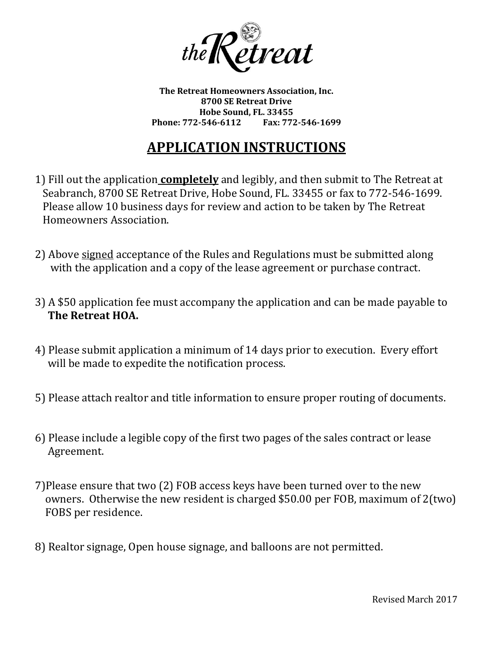

**The Retreat Homeowners Association, Inc. 8700 SE Retreat Drive Hobe Sound, FL. 33455** Phone: 772-546-6112

# **APPLICATION INSTRUCTIONS**

- 1) Fill out the application **completely** and legibly, and then submit to The Retreat at Seabranch, 8700 SE Retreat Drive, Hobe Sound, FL. 33455 or fax to 772-546-1699. Please allow 10 business days for review and action to be taken by The Retreat Homeowners Association.
- 2) Above signed acceptance of the Rules and Regulations must be submitted along with the application and a copy of the lease agreement or purchase contract.
- 3) A \$50 application fee must accompany the application and can be made payable to **The Retreat HOA.**
- 4) Please submit application a minimum of 14 days prior to execution. Every effort will be made to expedite the notification process.
- 5) Please attach realtor and title information to ensure proper routing of documents.
- 6) Please include a legible copy of the first two pages of the sales contract or lease Agreement.
- 7)Please ensure that two (2) FOB access keys have been turned over to the new owners. Otherwise the new resident is charged \$50.00 per FOB, maximum of 2(two) FOBS per residence.
- 8) Realtor signage, Open house signage, and balloons are not permitted.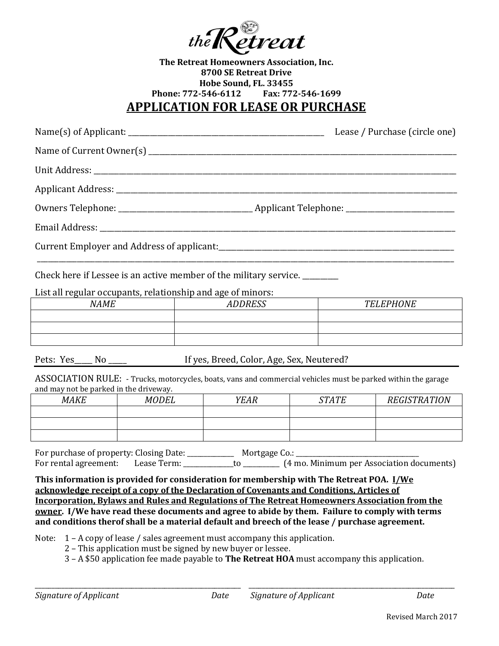

#### **The Retreat Homeowners Association, Inc. 8700 SE Retreat Drive Hobe Sound, FL. 33455 Phone: 772-546-6112 Fax: 772-546-1699 APPLICATION FOR LEASE OR PURCHASE**

| Lease / Purchase (circle one)                                                                                                    |           |  |
|----------------------------------------------------------------------------------------------------------------------------------|-----------|--|
|                                                                                                                                  |           |  |
|                                                                                                                                  |           |  |
|                                                                                                                                  |           |  |
|                                                                                                                                  |           |  |
|                                                                                                                                  |           |  |
|                                                                                                                                  |           |  |
| Check here if Lessee is an active member of the military service.<br>List all regular occupants, relationship and age of minors: |           |  |
| NAME ADDRESS                                                                                                                     | TELEPHONE |  |
|                                                                                                                                  |           |  |
|                                                                                                                                  |           |  |
|                                                                                                                                  |           |  |

Pets: Yes No Mo If yes, Breed, Color, Age, Sex, Neutered?

ASSOCIATION RULE: - Trucks, motorcycles, boats, vans and commercial vehicles must be parked within the garage and may not be parked in the driveway.

| <b>MAKE</b> | <b>MODEL</b> | <b>YEAR</b> | <b>STATE</b> | <b>REGISTRATION</b> |
|-------------|--------------|-------------|--------------|---------------------|
|             |              |             |              |                     |
|             |              |             |              |                     |
|             |              |             |              |                     |

For purchase of property: Closing Date: \_\_\_\_\_\_\_\_\_\_\_\_\_\_ Mortgage Co.: \_\_\_\_\_\_\_\_\_\_\_\_\_\_\_\_\_\_\_\_\_\_\_\_\_\_\_\_\_\_\_\_\_\_\_\_\_ For rental agreement: Lease Term: \_\_\_\_\_\_\_\_\_\_\_\_\_to \_\_\_\_\_\_\_\_\_\_\_ (4 mo. Minimum per Association documents)

**This information is provided for consideration for membership with The Retreat POA. I/We acknowledge receipt of a copy of the Declaration of Covenants and Conditions, Articles of Incorporation, Bylaws and Rules and Regulations of The Retreat Homeowners Association from the owner. I/We have read these documents and agree to abide by them. Failure to comply with terms and conditions therof shall be a material default and breech of the lease / purchase agreement.**

Note: 1 – A copy of lease / sales agreement must accompany this application.

2 – This application must be signed by new buyer or lessee.

3 – A \$50 application fee made payable to **The Retreat HOA** must accompany this application.